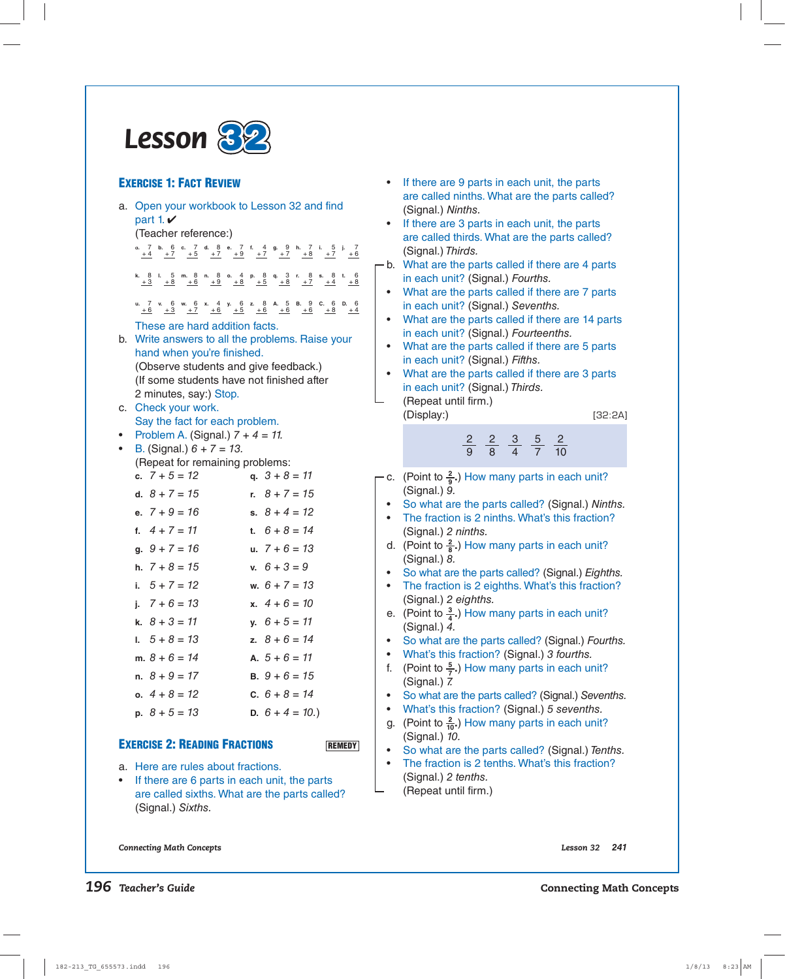

## **EXERCISE 1: FACT REVIEW**

|    | a. Open your workbook to Lesson 32 and find<br>part 1. $\nu$                                                                                                                                                |
|----|-------------------------------------------------------------------------------------------------------------------------------------------------------------------------------------------------------------|
|    | (Teacher reference:)                                                                                                                                                                                        |
|    | a. 7 b. 6 c. 7 d. 8 e. 7 f. 4 g. 9 h. 7 i. 5 j. 7<br>$\frac{+4}{+2}$ $\frac{+7}{+5}$ $\frac{+7}{+7}$ $\frac{+9}{+9}$ $\frac{+7}{+7}$ $\frac{+7}{+7}$ $\frac{+8}{+8}$ $\frac{+7}{+7}$ $\frac{+6}{-8}$        |
|    | <b>k.</b> 8 l. 5 m. 8 n. 8 o. 4 p. 8 q. 3 r. 8 s. 8 t. 6<br>$\frac{+3}{-2}$ $\frac{+8}{-6}$ $\frac{+6}{-9}$ $\frac{+9}{-8}$ $\frac{+8}{-5}$ $\frac{+5}{-8}$ $\frac{+8}{-7}$ $\frac{+7}{-4}$ $\frac{+4}{-8}$ |
|    | u. 7 v. 6 w. 6 x. 4 y. 6 z. 8 A. 5 B. 9 C. 6 D. 6<br>$+6$ $+3$ $+7$ $+6$ $+5$ $+5$ $+6$ $+6$ $+6$ $+8$ $+4$                                                                                                 |
|    | These are hard addition facts.                                                                                                                                                                              |
| b. | Write answers to all the problems. Raise your<br>hand when you're finished.                                                                                                                                 |
|    | (Observe students and give feedback.)                                                                                                                                                                       |
|    | (If some students have not finished after                                                                                                                                                                   |
|    | 2 minutes, say:) Stop.                                                                                                                                                                                      |
|    | c. Check your work.                                                                                                                                                                                         |
|    | Say the fact for each problem.<br>Problem A. (Signal.) $7 + 4 = 11$ .                                                                                                                                       |
|    | B. (Signal.) $6 + 7 = 13$ .                                                                                                                                                                                 |
|    | (Repeat for remaining problems:                                                                                                                                                                             |
|    | c. $7 + 5 = 12$<br>q. $3 + 8 = 11$                                                                                                                                                                          |
|    | d. $8 + 7 = 15$<br>r. $8 + 7 = 15$                                                                                                                                                                          |
|    | e. $7 + 9 = 16$<br>s. $8 + 4 = 12$                                                                                                                                                                          |
|    | f. $4 + 7 = 11$<br>t. $6 + 8 = 14$                                                                                                                                                                          |
|    | g. $9 + 7 = 16$<br>u. $7 + 6 = 13$                                                                                                                                                                          |
|    | h. $7 + 8 = 15$<br>v. $6 + 3 = 9$                                                                                                                                                                           |
|    | i. $5 + 7 = 12$<br>w. $6 + 7 = 13$                                                                                                                                                                          |
|    | i. $7 + 6 = 13$<br>x. $4 + 6 = 10$                                                                                                                                                                          |
|    | k. $8 + 3 = 11$<br>$y. 6 + 5 = 11$                                                                                                                                                                          |
|    | $1. 5 + 8 = 13$<br>z. $8 + 6 = 14$                                                                                                                                                                          |
|    | m. $8 + 6 = 14$<br>A. $5 + 6 = 11$                                                                                                                                                                          |
|    | n. $8 + 9 = 17$<br><b>B.</b> $9 + 6 = 15$                                                                                                                                                                   |
|    | o. $4 + 8 = 12$<br>C. $6 + 8 = 14$                                                                                                                                                                          |
|    | p. $8 + 5 = 13$<br>D. $6 + 4 = 10$ .)                                                                                                                                                                       |
|    |                                                                                                                                                                                                             |

#### **EXERCISE 2: READING FRACTIONS**

**REMEDY**

- a. Here are rules about fractions.
- If there are 6 parts in each unit, the parts are called sixths. What are the parts called? (Signal.) Sixths.
- If there are 9 parts in each unit, the parts are called ninths. What are the parts called? (Signal.) Ninths.
- If there are 3 parts in each unit, the parts are called thirds. What are the parts called? (Signal.) Thirds.
- b. What are the parts called if there are 4 parts in each unit? (Signal.) Fourths.
- What are the parts called if there are 7 parts in each unit? (Signal.) Sevenths.
- What are the parts called if there are 14 parts in each unit? (Signal.) Fourteenths.
- What are the parts called if there are 5 parts in each unit? (Signal.) Fifths.
- What are the parts called if there are 3 parts in each unit? (Signal.) Thirds.
- (Repeat until firm.) (Display:) [32:2A]

2 9 2 8 <u>3</u> 4 5 7 2 10

- c. (Point to  $\frac{2}{9}$ .) How many parts in each unit? (Signal.) 9.
- So what are the parts called? (Signal.) Ninths.
- The fraction is 2 ninths. What's this fraction? (Signal.) 2 ninths.
- d. (Point to  $\frac{2}{8}$ .) How many parts in each unit? (Signal.) 8.
- So what are the parts called? (Signal.) Eighths.
- The fraction is 2 eighths. What's this fraction? (Signal.) 2 eighths.
- e. (Point to  $\frac{3}{4}$ .) How many parts in each unit? (Signal.) 4.
- So what are the parts called? (Signal.) Fourths.
- What's this fraction? (Signal.) 3 fourths.
- f. (Point to  $\frac{5}{7}$ .) How many parts in each unit? (Signal.) 7.
- So what are the parts called? (Signal.) Sevenths.
- What's this fraction? (Signal.) 5 sevenths.
- g. (Point to  $\frac{2}{10}$ .) How many parts in each unit? (Signal.) 10.
- So what are the parts called? (Signal.) Tenths.
- The fraction is 2 tenths. What's this fraction? (Signal.) 2 tenths.
- (Repeat until firm.)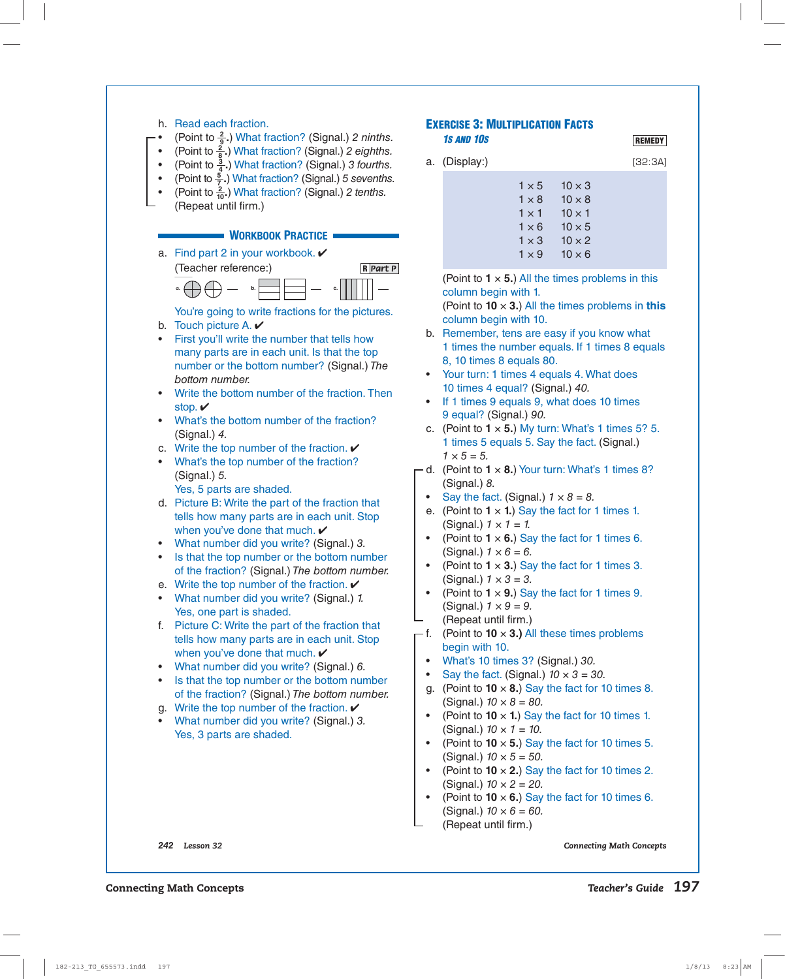

**REMEDY**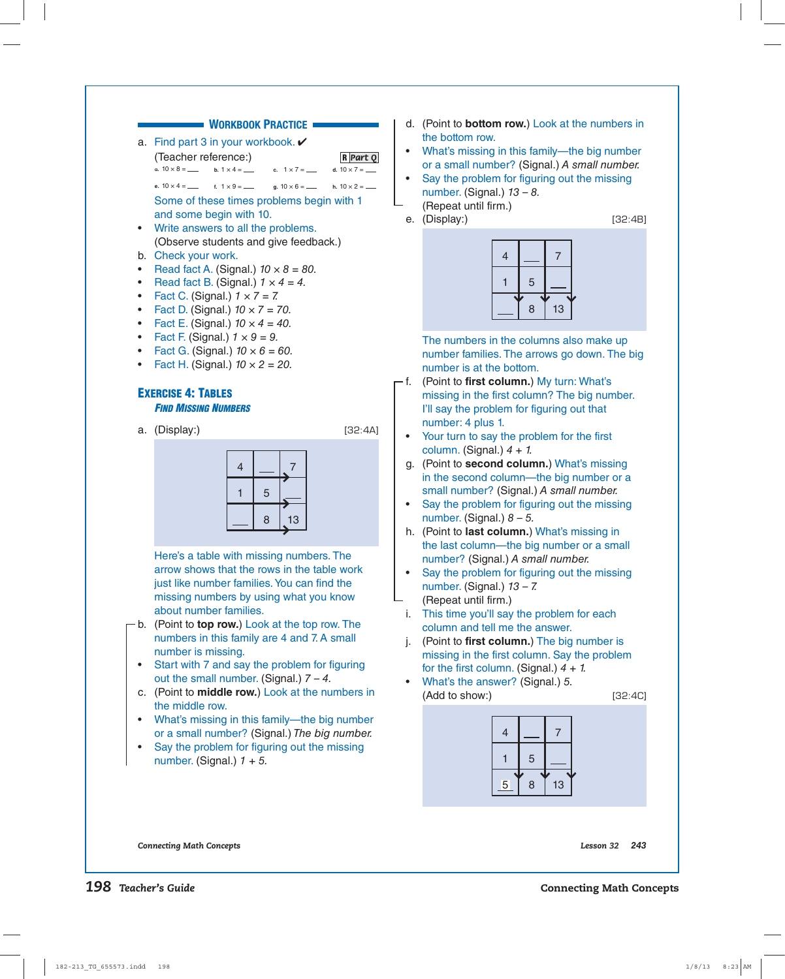# **WORKBOOK PRACTICE**

a. Find part 3 in your workbook.  $\checkmark$ (Teacher reference:)

**a.**  $10 \times 8 =$  **b.**  $1 \times 4 =$ **c.**  $1 \times 7 =$ d.  $10 \times 7 =$ 

- **e.**  $10 \times 4 =$ **f.**  $1 \times 9 =$  **g.** 10 × 6 = **h.** 10 × 2 = Some of these times problems begin with 1 and some begin with 10.
- Write answers to all the problems. (Observe students and give feedback.)
- b. Check your work.
- Read fact A. (Signal.)  $10 \times 8 = 80$ .
- Read fact B. (Signal.)  $1 \times 4 = 4$ .
- Fact C. (Signal.)  $1 \times 7 = 7$ .
- Fact D. (Signal.)  $10 \times 7 = 70$ .
- Fact E. (Signal.)  $10 \times 4 = 40$ .
- Fact F. (Signal.)  $1 \times 9 = 9$ .
- Fact G. (Signal.)  $10 \times 6 = 60$ .
- Fact H. (Signal.)  $10 \times 2 = 20$ .

### **EXERCISE 4: TABLES**

#### *FIND MISSING NUMBERS*

a. (Display:) [32:4A]



**R** *Part Q*



 Here's a table with missing numbers. The arrow shows that the rows in the table work just like number families. You can find the missing numbers by using what you know about number families.

- b. (Point to **top row.**) Look at the top row. The numbers in this family are 4 and 7. A small number is missing.
- Start with 7 and say the problem for figuring out the small number. (Signal.)  $7 - 4$ .
- c. (Point to **middle row.**) Look at the numbers in the middle row.
- What's missing in this family—the big number or a small number? (Signal.) The big number.
- Say the problem for figuring out the missing number. (Signal.)  $1 + 5$ .
- d. (Point to **bottom row.**) Look at the numbers in the bottom row.
- What's missing in this family—the big number or a small number? (Signal.) A small number.
- Say the problem for figuring out the missing number. (Signal.)  $13 - 8$ . (Repeat until firm.)
- e. (Display:) [32:4B]



 The numbers in the columns also make up number families. The arrows go down. The big number is at the bottom.

- f. (Point to **first column.**) My turn: What's missing in the first column? The big number. I'll say the problem for figuring out that number: 4 plus 1.
- Your turn to say the problem for the first column. (Signal.)  $4 + 1$ .
- g. (Point to **second column.**) What's missing in the second column—the big number or a small number? (Signal.) A small number.
- Say the problem for figuring out the missing number. (Signal.)  $8 - 5$ .
- h. (Point to **last column.**) What's missing in the last column—the big number or a small number? (Signal.) A small number.
- Say the problem for figuring out the missing number. (Signal.)  $13 - 7$ . (Repeat until firm.)
- i. This time you'll say the problem for each column and tell me the answer.
- j. (Point to **first column.**) The big number is missing in the first column. Say the problem for the first column. (Signal.)  $4 + 1$ .
- What's the answer? (Signal.) 5. (Add to show:) [32:4C]

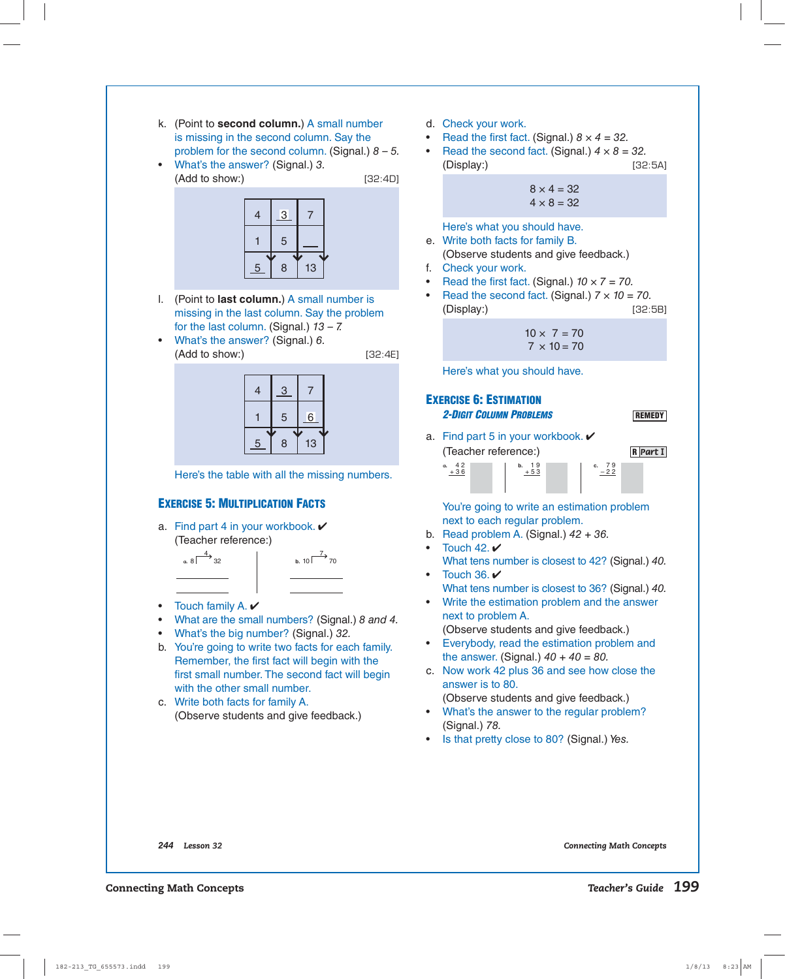- k. (Point to **second column.**) A small number is missing in the second column. Say the problem for the second column. (Signal.)  $8 - 5$ .
- What's the answer? (Signal.) 3. (Add to show:) [32:4D]



- l. (Point to **last column.**) A small number is missing in the last column. Say the problem for the last column. (Signal.)  $13 - 7$ .
- What's the answer? (Signal.) 6. (Add to show:) [32:4E]

| 4 | 3 |    |  |
|---|---|----|--|
|   | 5 | 6  |  |
| 5 | 8 | 13 |  |

Here's the table with all the missing numbers.

# **EXERCISE 5: MULTIPLICATION FACTS**

a. Find part 4 in your workbook.  $\vee$ (Teacher reference:)





- Touch family A.
- What are the small numbers? (Signal.) 8 and 4.
- What's the big number? (Signal.) 32.
- b. You're going to write two facts for each family. Remember, the first fact will begin with the first small number. The second fact will begin with the other small number.
	- c. Write both facts for family A. (Observe students and give feedback.)
- d. Check your work.
- Read the first fact. (Signal.)  $8 \times 4 = 32$ .
- Read the second fact. (Signal.)  $4 \times 8 = 32$ . (Display:) [32:5A]

$$
8 \times 4 = 32
$$
  

$$
4 \times 8 = 32
$$

Here's what you should have.

- e. Write both facts for family B. (Observe students and give feedback.)
- f. Check your work.
- Read the first fact. (Signal.)  $10 \times 7 = 70$ .
- Read the second fact. (Signal.)  $7 \times 10 = 70$ . (Display:) [32:5B]

$$
10 \times 7 = 70
$$
  

$$
7 \times 10 = 70
$$

Here's what you should have.

## **EXERCISE 6: ESTIMATION**  *2-DIGIT COLUMN PROBLEMS*

**REMEDY**

a. Find part 5 in your workbook. ✔ **32** (Teacher reference:)

**R** *Part* **I**

| a.<br>+36 |  | 9<br>52 | g<br>c.<br>$-22$ |  |
|-----------|--|---------|------------------|--|
|           |  |         |                  |  |

 You're going to write an estimation problem next to each regular problem.

- b. Read problem A. (Signal.)  $42 + 36$ .
- Touch  $42. *V*$ What tens number is closest to 42? (Signal.) 40.
- Touch  $36. *V*$ What tens number is closest to 36? (Signal.) 40.
- Write the estimation problem and the answer next to problem A. (Observe students and give feedback.)
- Everybody, read the estimation problem and the answer. (Signal.)  $40 + 40 = 80$ .
- c. Now work 42 plus 36 and see how close the answer is to 80. (Observe students and give feedback.)
- What's the answer to the regular problem? (Signal.) 78.
- Is that pretty close to 80? (Signal.) Yes.

*244 Lesson 32 Connecting Math Concepts*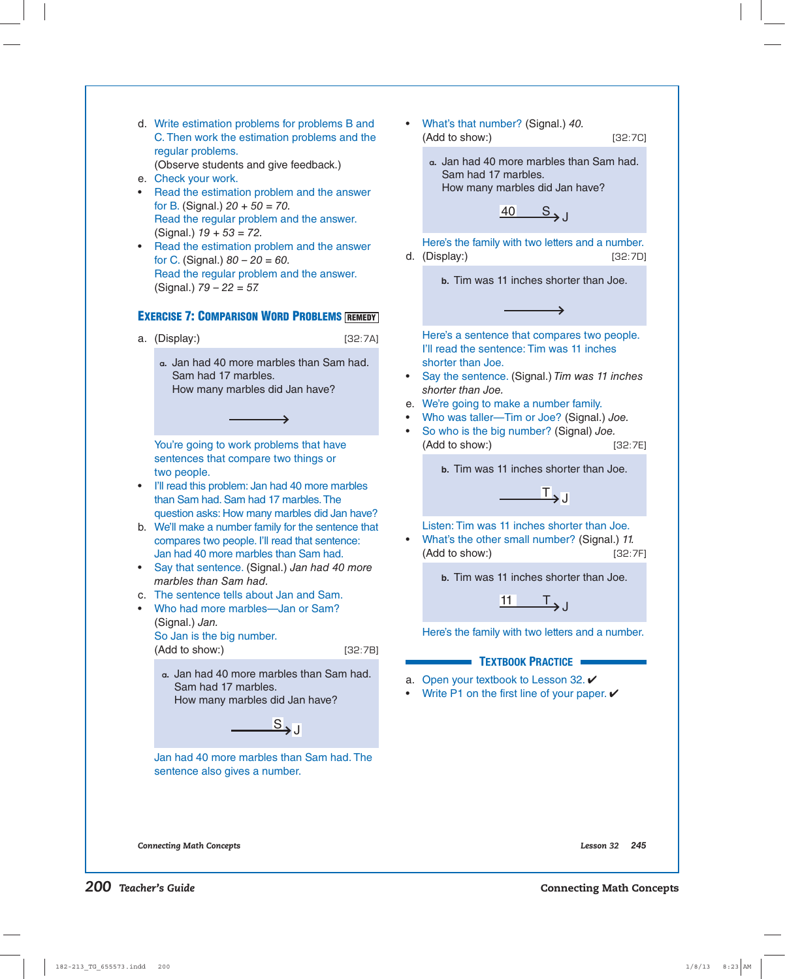d. Write estimation problems for problems B and C. Then work the estimation problems and the regular problems. (Observe students and give feedback.)

e. Check your work.

- Read the estimation problem and the answer for B. (Signal.)  $20 + 50 = 70$ . Read the regular problem and the answer. (Signal.)  $19 + 53 = 72$ .
- Read the estimation problem and the answer for C. (Signal.)  $80 - 20 = 60$ . Read the regular problem and the answer. (Signal.)  $79 - 22 = 57$ .

# **EXERCISE 7: COMPARISON WORD PROBLEMS REMEDY**

a. (Display:) [32:7A]

**a.** Jan had 40 more marbles than Sam had. Sam had 17 marbles. How many marbles did Jan have?

 $\rightarrow$ 

You're going to work problems that have sentences that compare two things or two people.

- I'll read this problem: Jan had 40 more marbles than Sam had. Sam had 17 marbles. The question asks: How many marbles did Jan have?
- b. We'll make a number family for the sentence that compares two people. I'll read that sentence: Jan had 40 more marbles than Sam had.
- Say that sentence. (Signal.) Jan had 40 more marbles than Sam had.
- c. The sentence tells about Jan and Sam.
- Who had more marbles—Jan or Sam? (Signal.) Jan. So Jan is the big number. (Add to show:) [32:7B]

**a.** Jan had 40 more marbles than Sam had. Sam had 17 marbles. How many marbles did Jan have?

 $S_{\rightarrow}$ 

 Jan had 40 more marbles than Sam had. The sentence also gives a number.

• What's that number? (Signal.) 40. (Add to show:) [32:7C]

**a.** Jan had 40 more marbles than Sam had. Sam had 17 marbles. How many marbles did Jan have?

 $40 \quad S_{\rightarrow}$ 

 Here's the family with two letters and a number. d. (Display:) [32:7D]

**b.** Tim was 11 inches shorter than Joe.

د

 Here's a sentence that compares two people. I'll read the sentence: Tim was 11 inches shorter than Joe.

- Say the sentence. (Signal.) Tim was 11 inches shorter than Joe.
- e. We're going to make a number family.
- Who was taller—Tim or Joe? (Signal.) Joe.
- So who is the big number? (Signal) Joe. (Add to show:) [32:7E]

**b.** Tim was 11 inches shorter than Joe.

 $\mathbf{L}_{\mathbf{J}}$ 

Listen: Tim was 11 inches shorter than Joe.

• What's the other small number? (Signal.) 11. (Add to show:) [32:7F]

**b.** Tim was 11 inches shorter than Joe.

 $11$   $T_{\rightarrow}$ 

Here's the family with two letters and a number.

### **TEXTBOOK PRACTICE**

- a. Open your textbook to Lesson 32.  $\checkmark$
- Write P1 on the first line of your paper.  $\checkmark$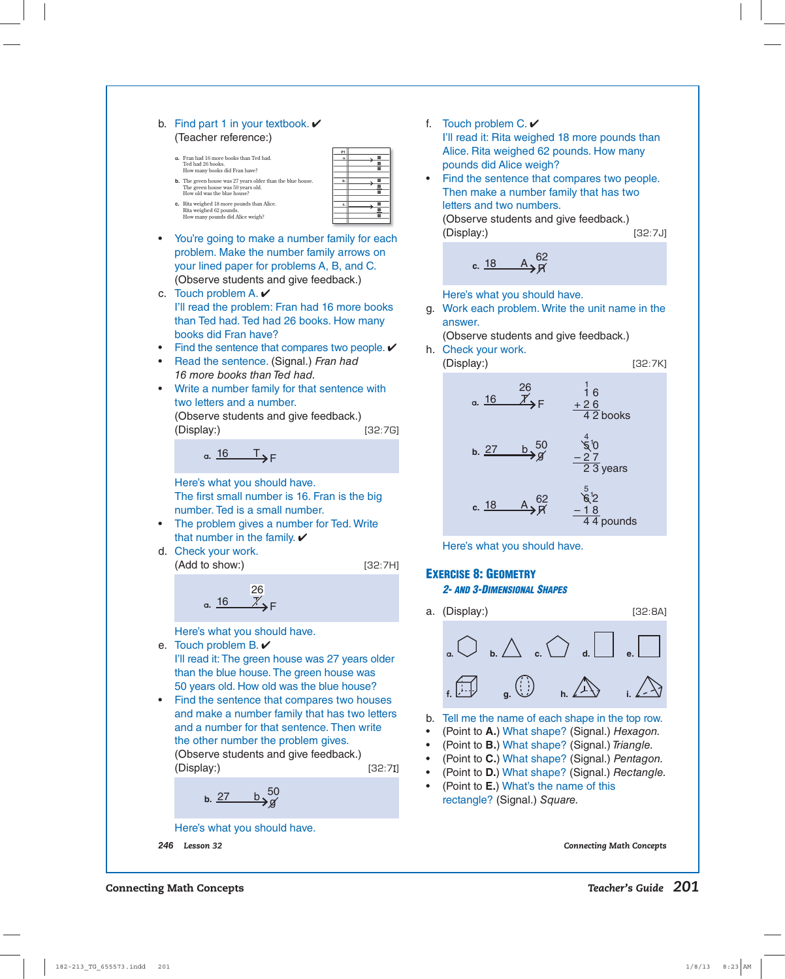|                        | b. Find part 1 in your textbook. $\triangleright$<br>(Teacher reference:)<br>P1<br>a. Fran had 16 more books than Ted had.<br>Ted had 26 books.<br>■<br>٠<br>How many books did Fran have?<br>b. The green house was 27 years older than the blue house.<br>b.<br>The green house was 50 years old.<br>٠<br>How old was the blue house?<br>c. Rita weighed 18 more pounds than Alice.<br>ш<br>c.<br>Rita weighed 62 pounds.<br>ш<br>How many pounds did Alice weigh? | f.<br>$\bullet$                     | Touch problem C. $\checkmark$<br>I'll read it: Rita weighed 18 more pounds than<br>Alice. Rita weighed 62 pounds. How many<br>pounds did Alice weigh?<br>Find the sentence that compares two people.<br>Then make a number family that has two<br>letters and two numbers. |  |  |  |
|------------------------|----------------------------------------------------------------------------------------------------------------------------------------------------------------------------------------------------------------------------------------------------------------------------------------------------------------------------------------------------------------------------------------------------------------------------------------------------------------------|-------------------------------------|----------------------------------------------------------------------------------------------------------------------------------------------------------------------------------------------------------------------------------------------------------------------------|--|--|--|
| $\bullet$              | You're going to make a number family for each                                                                                                                                                                                                                                                                                                                                                                                                                        |                                     | (Observe students and give feedback.)<br>(Display:)<br>[32:7J]                                                                                                                                                                                                             |  |  |  |
|                        | problem. Make the number family arrows on<br>your lined paper for problems A, B, and C.<br>(Observe students and give feedback.)                                                                                                                                                                                                                                                                                                                                     |                                     | __62<br>— Я́<br>c. 18                                                                                                                                                                                                                                                      |  |  |  |
|                        | c. Touch problem A. $\vee$<br>I'll read the problem: Fran had 16 more books<br>than Ted had. Ted had 26 books. How many                                                                                                                                                                                                                                                                                                                                              |                                     | Here's what you should have.<br>g. Work each problem. Write the unit name in the<br>answer.                                                                                                                                                                                |  |  |  |
| $\bullet$<br>$\bullet$ | books did Fran have?<br>Find the sentence that compares two people. $\checkmark$<br>Read the sentence. (Signal.) Fran had                                                                                                                                                                                                                                                                                                                                            |                                     | (Observe students and give feedback.)<br>h. Check your work.<br>(Display:)<br>[32:7K]                                                                                                                                                                                      |  |  |  |
| ٠                      | 16 more books than Ted had.<br>Write a number family for that sentence with<br>two letters and a number.<br>(Observe students and give feedback.)<br>[32:7G]                                                                                                                                                                                                                                                                                                         |                                     | 26<br>16<br>a. 16<br>$+26$<br>$\overline{42}$ books                                                                                                                                                                                                                        |  |  |  |
|                        | (Display:)<br>a. $\frac{16}{\sqrt{5}}$ T <sub>&gt;F</sub>                                                                                                                                                                                                                                                                                                                                                                                                            |                                     | $\mathcal{Z}_{0}$<br><u>b</u> , <sup>50</sup><br>b. 27<br>$\overline{23}$ years                                                                                                                                                                                            |  |  |  |
|                        | Here's what you should have.<br>The first small number is 16. Fran is the big<br>number. Ted is a small number.<br>The problem gives a number for Ted. Write<br>that number in the family. $\checkmark$                                                                                                                                                                                                                                                              |                                     | 62<br>c. 18<br>$\overline{44}$ pounds                                                                                                                                                                                                                                      |  |  |  |
|                        | d. Check your work.<br>(Add to show:)<br>[32:7H]                                                                                                                                                                                                                                                                                                                                                                                                                     |                                     | Here's what you should have.                                                                                                                                                                                                                                               |  |  |  |
|                        | a. 16                                                                                                                                                                                                                                                                                                                                                                                                                                                                |                                     | <b>EXERCISE 8: GEOMETRY</b><br><b>2- AND 3-DIMENSIONAL SHAPES</b><br>a. (Display:)<br>[32:8A]                                                                                                                                                                              |  |  |  |
| $\bullet$              | Here's what you should have.<br>e. Touch problem B. $\checkmark$<br>I'll read it: The green house was 27 years older<br>than the blue house. The green house was<br>50 years old. How old was the blue house?<br>Find the sentence that compares two houses<br>and make a number family that has two letters<br>and a number for that sentence. Then write<br>the other number the problem gives.<br>(Observe students and give feedback.)                           | b.<br>$\bullet$<br>$\bullet$        | b. $\triangle$ c.<br>Tell me the name of each shape in the top row.<br>(Point to A.) What shape? (Signal.) Hexagon.<br>(Point to B.) What shape? (Signal.) Triangle.                                                                                                       |  |  |  |
|                        | (Display:)<br>[32:71]<br>b. $\frac{27}{9}$ b. $\frac{50}{9}$                                                                                                                                                                                                                                                                                                                                                                                                         | $\bullet$<br>$\bullet$<br>$\bullet$ | (Point to C.) What shape? (Signal.) Pentagon.<br>(Point to D.) What shape? (Signal.) Rectangle.<br>(Point to E.) What's the name of this<br>rectangle? (Signal.) Square.                                                                                                   |  |  |  |
|                        | Here's what you should have.                                                                                                                                                                                                                                                                                                                                                                                                                                         |                                     |                                                                                                                                                                                                                                                                            |  |  |  |

*246 Lesson 32 Connecting Math Concepts*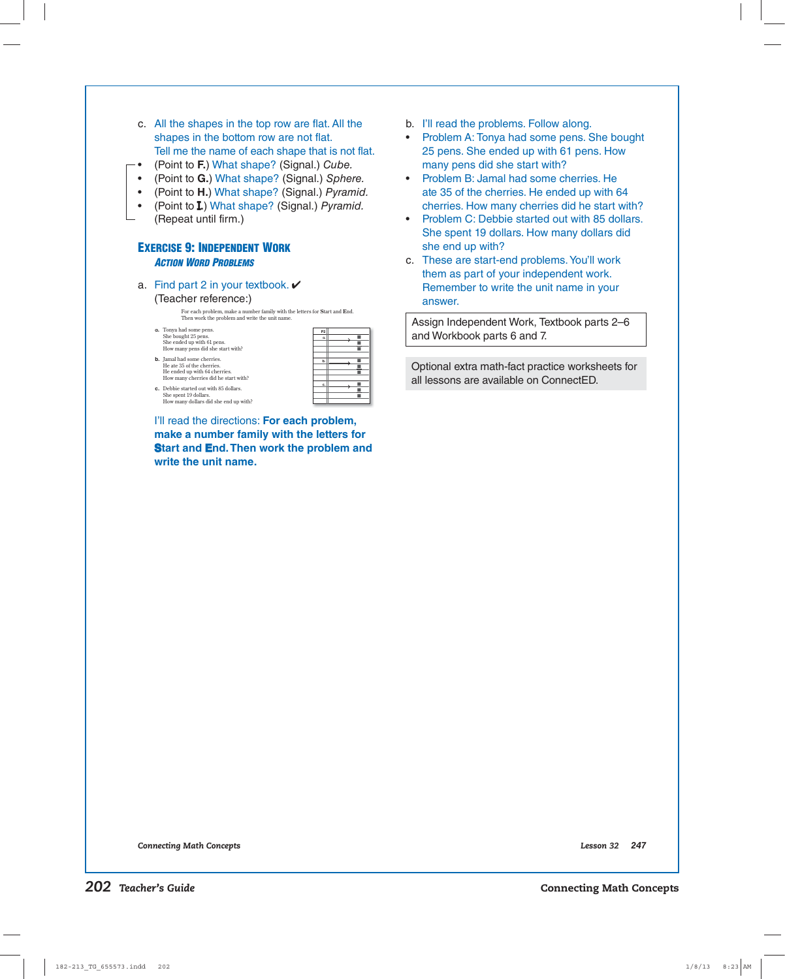| $\bullet$<br>$\bullet$<br>$\bullet$<br>٠ | shapes in the bottom row are not flat.<br>Tell me the name of each shape that is not flat.<br>(Point to F.) What shape? (Signal.) Cube.<br>(Point to G.) What shape? (Signal.) Sphere.<br>(Point to H.) What shape? (Signal.) Pyramid.<br>(Point to <b>I.</b> ) What shape? (Signal.) Pyramid.<br>(Repeat until firm.) | Problem A: Tonya ha<br>25 pens. She ended<br>many pens did she<br>Problem B: Jamal ha<br>ate 35 of the cherric<br>cherries. How many<br>Problem C: Debbie<br>She spent 19 dollar |
|------------------------------------------|------------------------------------------------------------------------------------------------------------------------------------------------------------------------------------------------------------------------------------------------------------------------------------------------------------------------|----------------------------------------------------------------------------------------------------------------------------------------------------------------------------------|
|                                          | <b>EXERCISE 9: INDEPENDENT WORK</b><br><b>ACTION WORD PROBLEMS</b>                                                                                                                                                                                                                                                     | she end up with?<br>c. These are start-end                                                                                                                                       |
|                                          |                                                                                                                                                                                                                                                                                                                        | them as part of you                                                                                                                                                              |
| а.                                       | Find part 2 in your textbook. $\checkmark$                                                                                                                                                                                                                                                                             | Remember to write                                                                                                                                                                |
|                                          | (Teacher reference:)<br>For each problem, make a number family with the letters for Start and End.                                                                                                                                                                                                                     | answer.                                                                                                                                                                          |
|                                          | Then work the problem and write the unit name.                                                                                                                                                                                                                                                                         | Assign Independent W                                                                                                                                                             |
|                                          | a. Tonya had some pens.<br>P <sub>2</sub><br>She bought 25 pens.<br>٠<br>a.<br>She ended up with 61 pens.<br>٠<br>How many pens did she start with?<br>ш                                                                                                                                                               | and Workbook parts 6                                                                                                                                                             |
|                                          | <b>b.</b> Jamal had some cherries.<br>٠<br>b.<br>He ate 35 of the cherries.<br>٠<br>He ended up with 64 cherries.<br>ш<br>How many cherries did he start with?                                                                                                                                                         | Optional extra math-fa<br>all lessons are availab                                                                                                                                |
|                                          | ٠<br>c.<br>c. Debbie started out with 85 dollars.<br>ш<br>She spent 19 dollars.<br>٠<br>How many dollars did she end up with?                                                                                                                                                                                          |                                                                                                                                                                                  |
|                                          | I'll read the directions: For each problem,                                                                                                                                                                                                                                                                            |                                                                                                                                                                                  |
|                                          | make a number family with the letters for                                                                                                                                                                                                                                                                              |                                                                                                                                                                                  |
|                                          | Start and End. Then work the problem and<br>write the unit name.                                                                                                                                                                                                                                                       |                                                                                                                                                                                  |
|                                          |                                                                                                                                                                                                                                                                                                                        |                                                                                                                                                                                  |
|                                          |                                                                                                                                                                                                                                                                                                                        |                                                                                                                                                                                  |
|                                          |                                                                                                                                                                                                                                                                                                                        |                                                                                                                                                                                  |
|                                          |                                                                                                                                                                                                                                                                                                                        |                                                                                                                                                                                  |
|                                          |                                                                                                                                                                                                                                                                                                                        |                                                                                                                                                                                  |
|                                          |                                                                                                                                                                                                                                                                                                                        |                                                                                                                                                                                  |
|                                          |                                                                                                                                                                                                                                                                                                                        |                                                                                                                                                                                  |

c. All the shapes in the top row are flat. All the

- ad some pens. She bought d up with 61 pens. How start with?
- ad some cherries. He es. He ended up with 64 cherries did he start with?
- started out with 85 dollars. rs. How many dollars did
- d problems. You'll work ir independent work. the unit name in your

Vork, Textbook parts 2–6 and 7.

oct practice worksheets for le on ConnectED.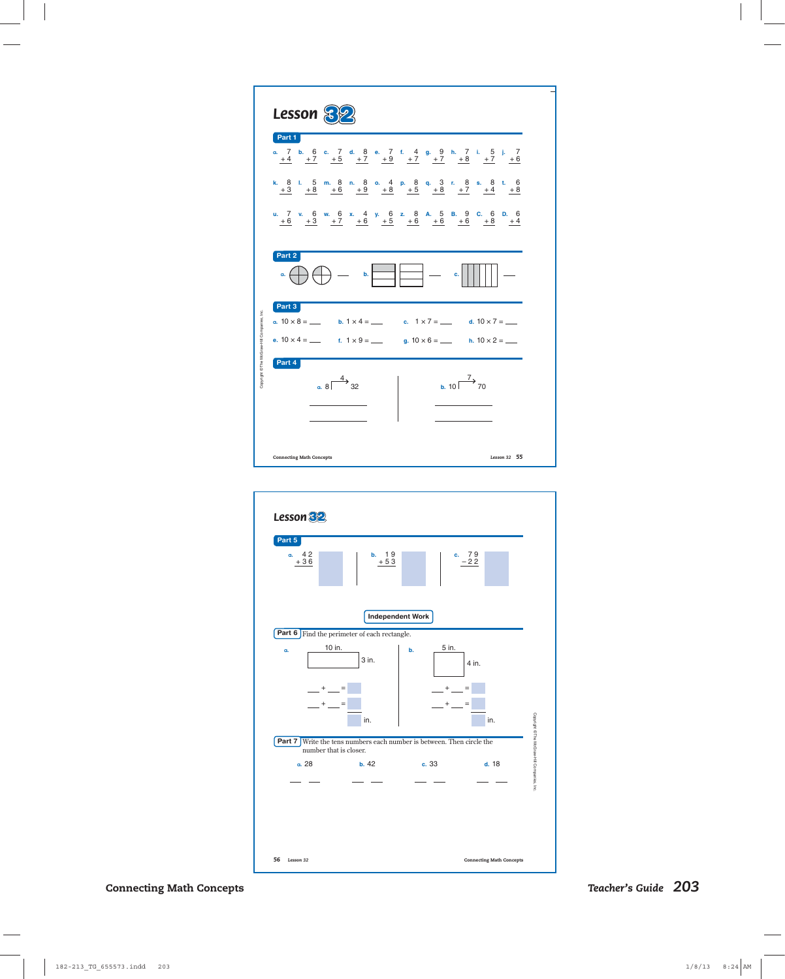